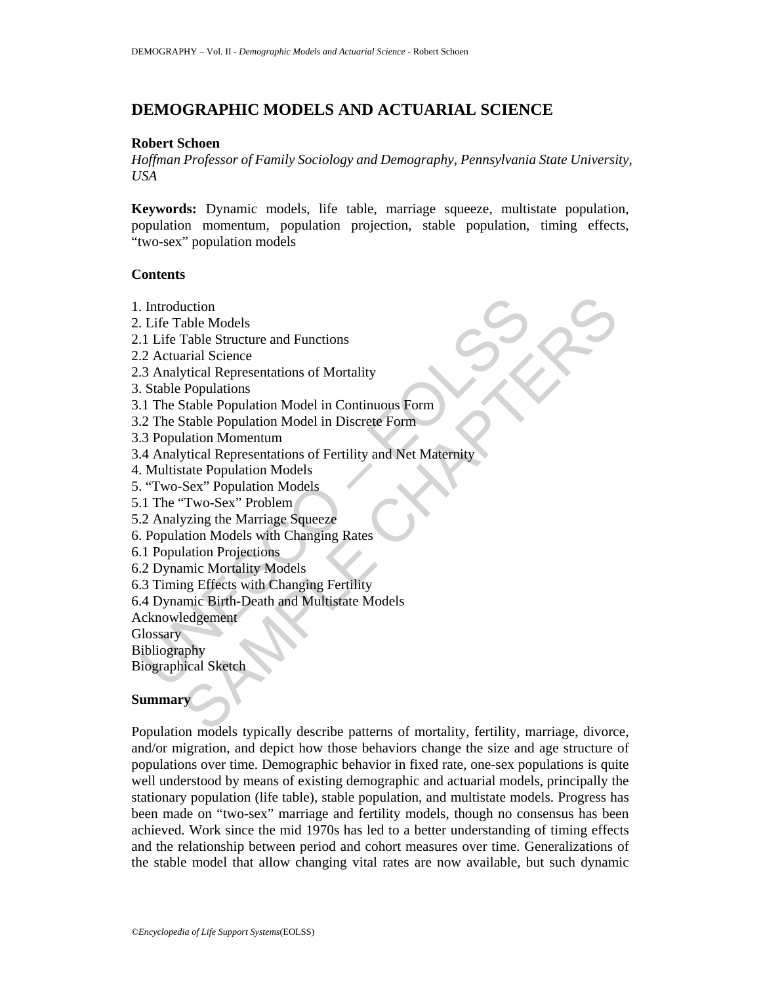# **DEMOGRAPHIC MODELS AND ACTUARIAL SCIENCE**

### **Robert Schoen**

*Hoffman Professor of Family Sociology and Demography, Pennsylvania State University, USA* 

**Keywords:** Dynamic models, life table, marriage squeeze, multistate population, population momentum, population projection, stable population, timing effects, "two-sex" population models

### **Contents**

- 1. Introduction
- 2. Life Table Models
- 2.1 Life Table Structure and Functions
- 2.2 Actuarial Science
- 2.3 Analytical Representations of Mortality
- 3. Stable Populations
- 3.1 The Stable Population Model in Continuous Form
- 3.2 The Stable Population Model in Discrete Form
- 3.3 Population Momentum
- Introduction<br>
Life Table Models<br>
1 Life Table Structure and Functions<br>
2 Actuarial Science<br>
3 Analytical Representations of Mortality<br>
Stable Populations<br>
1 The Stable Population Model in Continuous Form<br>
2 The Stable Popu uction<br>
able Models<br>
arial Science<br>
arial Science<br>
arial Science<br>
arial Science<br>
propulation Model in Continuous Form<br>
Stable Population Model in Discrete Form<br>
lation Momentum<br>
atate Population Models<br>
Sex." Population Mo 3.4 Analytical Representations of Fertility and Net Maternity
- 4. Multistate Population Models
- 5. "Two-Sex" Population Models
- 5.1 The "Two-Sex" Problem
- 5.2 Analyzing the Marriage Squeeze
- 6. Population Models with Changing Rates
- 6.1 Population Projections
- 6.2 Dynamic Mortality Models
- 6.3 Timing Effects with Changing Fertility
- 6.4 Dynamic Birth-Death and Multistate Models

Acknowledgement

**Glossary** 

Bibliography

Biographical Sketch

# **Summary**

Population models typically describe patterns of mortality, fertility, marriage, divorce, and/or migration, and depict how those behaviors change the size and age structure of populations over time. Demographic behavior in fixed rate, one-sex populations is quite well understood by means of existing demographic and actuarial models, principally the stationary population (life table), stable population, and multistate models. Progress has been made on "two-sex" marriage and fertility models, though no consensus has been achieved. Work since the mid 1970s has led to a better understanding of timing effects and the relationship between period and cohort measures over time. Generalizations of the stable model that allow changing vital rates are now available, but such dynamic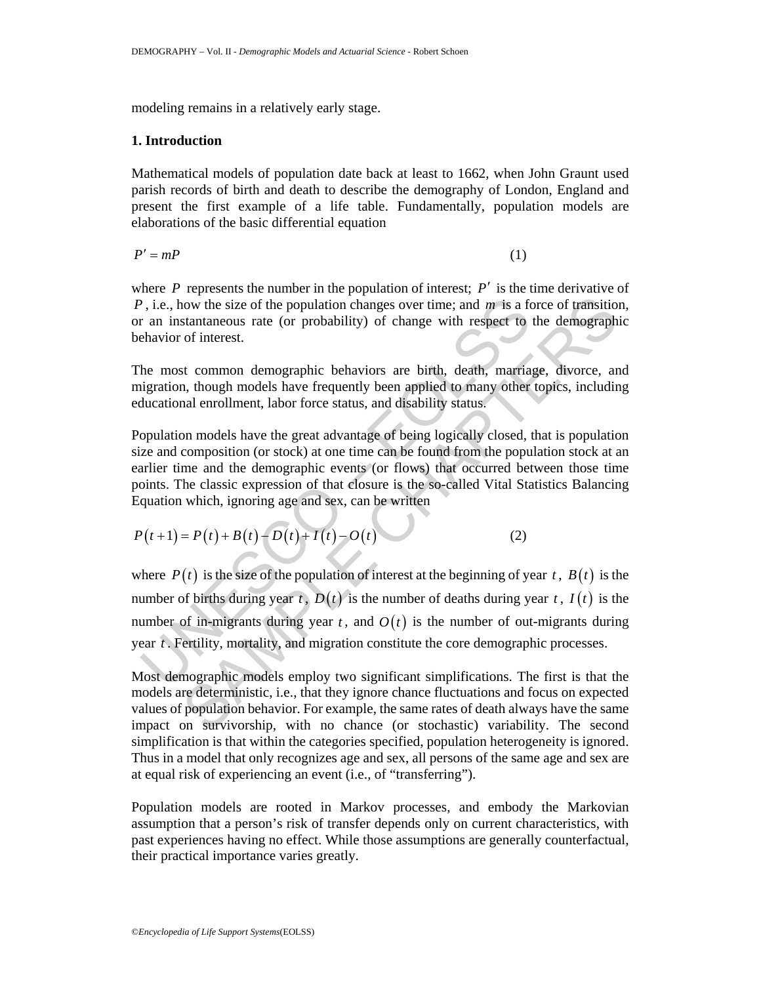modeling remains in a relatively early stage.

## **1. Introduction**

Mathematical models of population date back at least to 1662, when John Graunt used parish records of birth and death to describe the demography of London, England and present the first example of a life table. Fundamentally, population models are elaborations of the basic differential equation

 $P' = mP$  (1)

where  $P$  represents the number in the population of interest;  $P'$  is the time derivative of *P*, i.e., how the size of the population changes over time; and *m* is a force of transition, or an instantaneous rate (or probability) of change with respect to the demographic behavior of interest.

The most common demographic behaviors are birth, death, marriage, divorce, and migration, though models have frequently been applied to many other topics, including educational enrollment, labor force status, and disability status.

Population models have the great advantage of being logically closed, that is population size and composition (or stock) at one time can be found from the population stock at an earlier time and the demographic events (or flows) that occurred between those time points. The classic expression of that closure is the so-called Vital Statistics Balancing Equation which, ignoring age and sex, can be written

 $P(t+1) = P(t) + B(t) - D(t) + I(t) - O(t)$  (2)

P, i.e., how the size of the population changes over time; and m is a for an instantaneous rate (or probability) of change with respect to chavior of interest.<br>
he most common demographic behaviors are birth, death, marri Now the size of the population changes over time; and m is a force of transition<br>stantaneous rate (or probability) of change with respect to the demographic<br>of interest.<br>St common demographic behaviors are birth, death, m where  $P(t)$  is the size of the population of interest at the beginning of year *t*,  $B(t)$  is the number of births during year  $t$ ,  $D(t)$  is the number of deaths during year  $t$ ,  $I(t)$  is the number of in-migrants during year  $t$ , and  $O(t)$  is the number of out-migrants during year *t* . Fertility, mortality, and migration constitute the core demographic processes.

Most demographic models employ two significant simplifications. The first is that the models are deterministic, i.e., that they ignore chance fluctuations and focus on expected values of population behavior. For example, the same rates of death always have the same impact on survivorship, with no chance (or stochastic) variability. The second simplification is that within the categories specified, population heterogeneity is ignored. Thus in a model that only recognizes age and sex, all persons of the same age and sex are at equal risk of experiencing an event (i.e., of "transferring").

Population models are rooted in Markov processes, and embody the Markovian assumption that a person's risk of transfer depends only on current characteristics, with past experiences having no effect. While those assumptions are generally counterfactual, their practical importance varies greatly.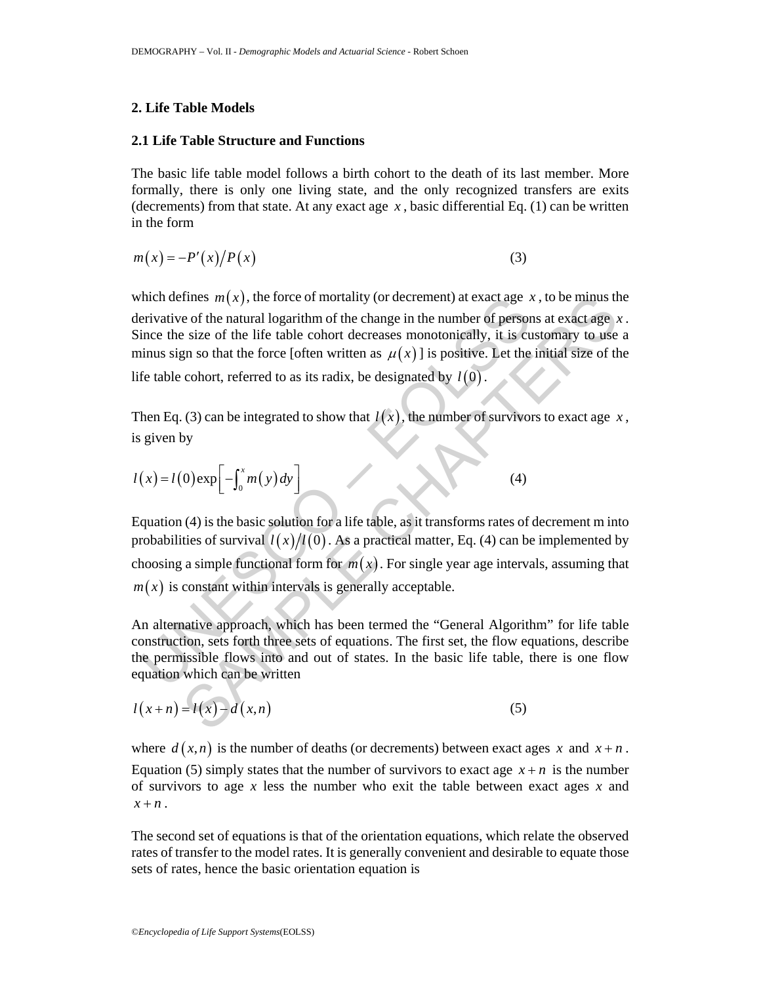#### **2. Life Table Models**

#### **2.1 Life Table Structure and Functions**

The basic life table model follows a birth cohort to the death of its last member. More formally, there is only one living state, and the only recognized transfers are exits (decrements) from that state. At any exact age  $x$ , basic differential Eq. (1) can be written in the form

$$
m(x) = -P'(x)/P(x) \tag{3}
$$

nich defines  $m(x)$ , the force of mortality (or decrement) at exact age *i*<br>erivative of the natural logarithm of the change in the number of persor<br>ince the size of the life table cohort decreases monotonically, it is cu<br> tines  $m(x)$ , the force of mortality (or decrement) at exact age x, to be minus the of the natural logarithm of the change in the number of persons at exact age s is exise of the life table cohort decreases monotonically, which defines  $m(x)$ , the force of mortality (or decrement) at exact age x, to be minus the derivative of the natural logarithm of the change in the number of persons at exact age *x* . Since the size of the life table cohort decreases monotonically, it is customary to use a minus sign so that the force [often written as  $\mu(x)$ ] is positive. Let the initial size of the life table cohort, referred to as its radix, be designated by  $l(0)$ .

Then Eq. (3) can be integrated to show that  $l(x)$ , the number of survivors to exact age x, is given by

$$
l(x) = l(0) \exp\left[-\int_0^x m(y) dy\right]
$$
 (4)

Equation (4) is the basic solution for a life table, as it transforms rates of decrement m into probabilities of survival  $l(x)/l(0)$ . As a practical matter, Eq. (4) can be implemented by choosing a simple functional form for  $m(x)$ . For single year age intervals, assuming that  $m(x)$  is constant within intervals is generally acceptable.

An alternative approach, which has been termed the "General Algorithm" for life table construction, sets forth three sets of equations. The first set, the flow equations, describe the permissible flows into and out of states. In the basic life table, there is one flow equation which can be written

$$
l(x+n) = l(x) - d(x,n)
$$
\n(5)

where  $d(x, n)$  is the number of deaths (or decrements) between exact ages x and  $x + n$ . Equation (5) simply states that the number of survivors to exact age  $x + n$  is the number of survivors to age *x* less the number who exit the table between exact ages *x* and  $x + n$ .

The second set of equations is that of the orientation equations, which relate the observed rates of transfer to the model rates. It is generally convenient and desirable to equate those sets of rates, hence the basic orientation equation is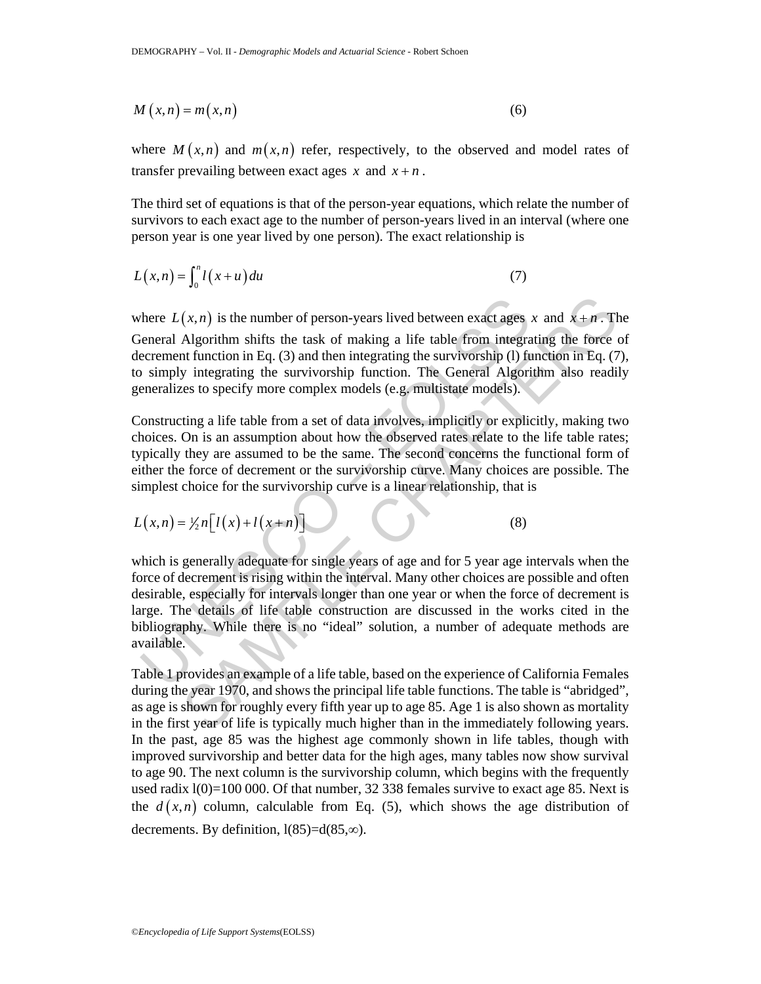$$
M(x,n) = m(x,n) \tag{6}
$$

where  $M(x, n)$  and  $m(x, n)$  refer, respectively, to the observed and model rates of transfer prevailing between exact ages  $x$  and  $x + n$ .

The third set of equations is that of the person-year equations, which relate the number of survivors to each exact age to the number of person-years lived in an interval (where one person year is one year lived by one person). The exact relationship is

$$
L(x,n) = \int_0^n l(x+u) du \tag{7}
$$

where  $L(x, n)$  is the number of person-years lived between exact ages x and  $x + n$ . The General Algorithm shifts the task of making a life table from integrating the force of decrement function in Eq. (3) and then integrating the survivorship (1) function in Eq. (7), to simply integrating the survivorship function. The General Algorithm also readily generalizes to specify more complex models (e.g. multistate models).

Constructing a life table from a set of data involves, implicitly or explicitly, making two choices. On is an assumption about how the observed rates relate to the life table rates; typically they are assumed to be the same. The second concerns the functional form of either the force of decrement or the survivorship curve. Many choices are possible. The simplest choice for the survivorship curve is a linear relationship, that is

$$
L(x,n) = \frac{1}{2}n \big[ l(x) + l(x+n) \big] \tag{8}
$$

there  $L(x, n)$  is the number of person-years lived between exact ages<br>
elencral Algorithm shifts the task of making a life table from integrace-<br>
ecrement function in Eq. (3) and then integrating the survivorship (I) fu<br>
i  $(x, n)$  is the number of person-years lived between exact ages x and  $x + n$ . The Algorithm shifts the task of making a life table from integrating the force at function in Eq. (3) and then integrating the survivorship (1) f which is generally adequate for single years of age and for 5 year age intervals when the force of decrement is rising within the interval. Many other choices are possible and often desirable, especially for intervals longer than one year or when the force of decrement is large. The details of life table construction are discussed in the works cited in the bibliography. While there is no "ideal" solution, a number of adequate methods are available.

Table 1 provides an example of a life table, based on the experience of California Females during the year 1970, and shows the principal life table functions. The table is "abridged", as age is shown for roughly every fifth year up to age 85. Age 1 is also shown as mortality in the first year of life is typically much higher than in the immediately following years. In the past, age 85 was the highest age commonly shown in life tables, though with improved survivorship and better data for the high ages, many tables now show survival to age 90. The next column is the survivorship column, which begins with the frequently used radix  $1(0)=100000$ . Of that number, 32 338 females survive to exact age 85. Next is the  $d(x, n)$  column, calculable from Eq. (5), which shows the age distribution of decrements. By definition,  $l(85)=d(85,\infty)$ .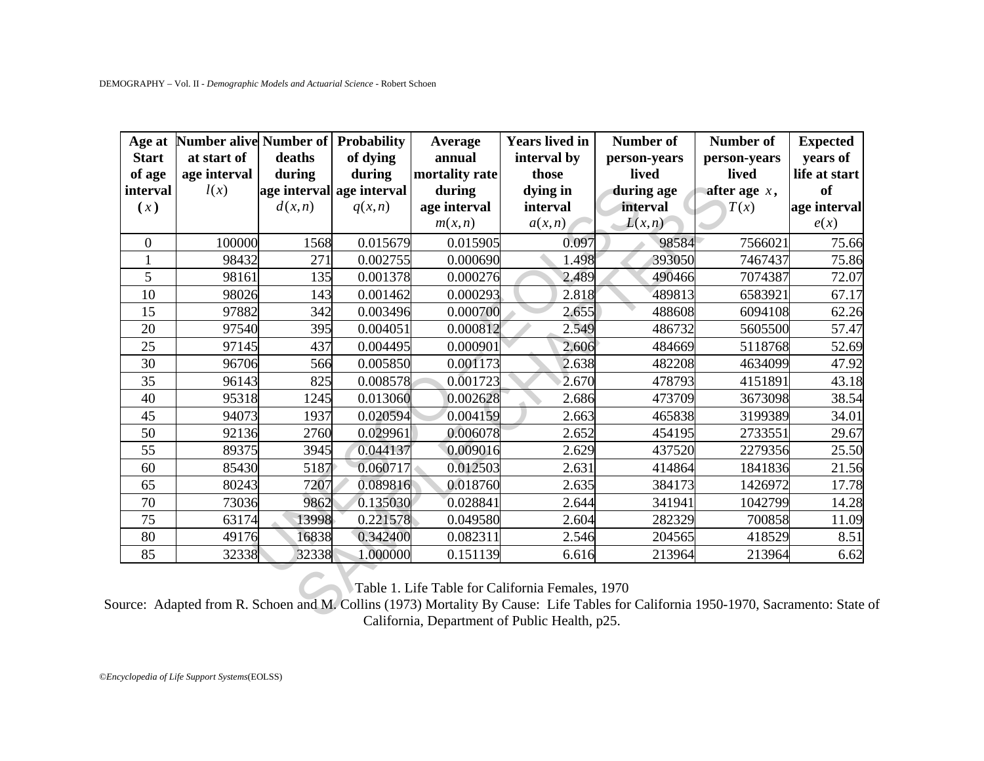| Age at<br><b>Start</b><br>of age<br>interval<br>(x) | Number alive Number of Probability<br>at start of<br>age interval<br>l(x) | deaths<br>during<br>d(x, n) | of dying<br>during<br>age interval age interval<br>q(x,n) | <b>Average</b><br>annual<br>mortality rate<br>during<br>age interval<br>m(x,n) | <b>Years lived in</b><br>interval by<br>those<br>dying in<br>interval<br>a(x,n) | <b>Number of</b><br>person-years<br>lived<br>during age<br>interval<br>L(x,n) | Number of<br>person-years<br>lived<br>after age $x$ ,<br>T(x) | <b>Expected</b><br>years of<br>life at start<br>of<br>age interval<br>e(x) |
|-----------------------------------------------------|---------------------------------------------------------------------------|-----------------------------|-----------------------------------------------------------|--------------------------------------------------------------------------------|---------------------------------------------------------------------------------|-------------------------------------------------------------------------------|---------------------------------------------------------------|----------------------------------------------------------------------------|
| $\mathbf{0}$                                        | 100000                                                                    | 1568                        | 0.015679                                                  | 0.015905                                                                       | 0.097                                                                           | 98584                                                                         | 7566021                                                       | 75.66                                                                      |
| $\mathbf{1}$                                        | 98432                                                                     | 271                         | 0.002755                                                  | 0.000690                                                                       | 1.498                                                                           | 393050                                                                        | 7467437                                                       | 75.86                                                                      |
| 5                                                   | 98161                                                                     | 135                         | 0.001378                                                  | 0.000276                                                                       | 2.489                                                                           | 490466                                                                        | 7074387                                                       | 72.07                                                                      |
| 10                                                  | 98026                                                                     | 143                         | 0.001462                                                  | 0.000293                                                                       | 2.818                                                                           | 489813                                                                        | 6583921                                                       | 67.17                                                                      |
| 15                                                  | 97882                                                                     | 342                         | 0.003496                                                  | 0.000700                                                                       | 2.655                                                                           | 488608                                                                        | 6094108                                                       | 62.26                                                                      |
| 20                                                  | 97540                                                                     | 395                         | 0.004051                                                  | 0.000812                                                                       | 2.549                                                                           | 486732                                                                        | 5605500                                                       | 57.47                                                                      |
| 25                                                  | 97145                                                                     | 437                         | 0.004495                                                  | 0.000901                                                                       | 2.606                                                                           | 484669                                                                        | 5118768                                                       | 52.69                                                                      |
| 30                                                  | 96706                                                                     | 566                         | 0.005850                                                  | 0.001173                                                                       | 2.638                                                                           | 482208                                                                        | 4634099                                                       | 47.92                                                                      |
| 35                                                  | 96143                                                                     | 825                         | 0.008578                                                  | 0.001723                                                                       | 2.670                                                                           | 478793                                                                        | 4151891                                                       | 43.18                                                                      |
| 40                                                  | 95318                                                                     | 1245                        | 0.013060                                                  | 0.002628                                                                       | 2.686                                                                           | 473709                                                                        | 3673098                                                       | 38.54                                                                      |
| 45                                                  | 94073                                                                     | 1937                        | 0.020594                                                  | 0.004159                                                                       | 2.663                                                                           | 465838                                                                        | 3199389                                                       | 34.01                                                                      |
| 50                                                  | 92136                                                                     | 2760                        | 0.029961                                                  | 0.006078                                                                       | 2.652                                                                           | 454195                                                                        | 2733551                                                       | 29.67                                                                      |
| $\overline{55}$                                     | 89375                                                                     | 3945                        | 0.044137                                                  | 0.009016                                                                       | 2.629                                                                           | 437520                                                                        | 2279356                                                       | 25.50                                                                      |
| 60                                                  | 85430                                                                     | 5187                        | 0.060717                                                  | 0.012503                                                                       | 2.631                                                                           | 414864                                                                        | 1841836                                                       | 21.56                                                                      |
| 65                                                  | 80243                                                                     | 7207                        | 0.089816                                                  | 0.018760                                                                       | 2.635                                                                           | 384173                                                                        | 1426972                                                       | 17.78                                                                      |
| 70                                                  | 73036                                                                     | 9862                        | 0.135030                                                  | 0.028841                                                                       | 2.644                                                                           | 341941                                                                        | 1042799                                                       | 14.28                                                                      |
| 75                                                  | 63174                                                                     | 13998                       | 0.221578                                                  | 0.049580                                                                       | 2.604                                                                           | 282329                                                                        | 700858                                                        | 11.09                                                                      |
| 80                                                  | 49176                                                                     | 16838                       | 0.342400                                                  | 0.082311                                                                       | 2.546                                                                           | 204565                                                                        | 418529                                                        | 8.51                                                                       |
| 85                                                  | 32338                                                                     | 32338                       | 1.000000                                                  | 0.151139                                                                       | 6.616                                                                           | 213964                                                                        | 213964                                                        | 6.62                                                                       |

Source: Adapted from R. Schoen and M. Collins (1973) Mortality By Cause: Life Tables for California 1950-1970, Sacramento: State of California, Department of Public Health, p25.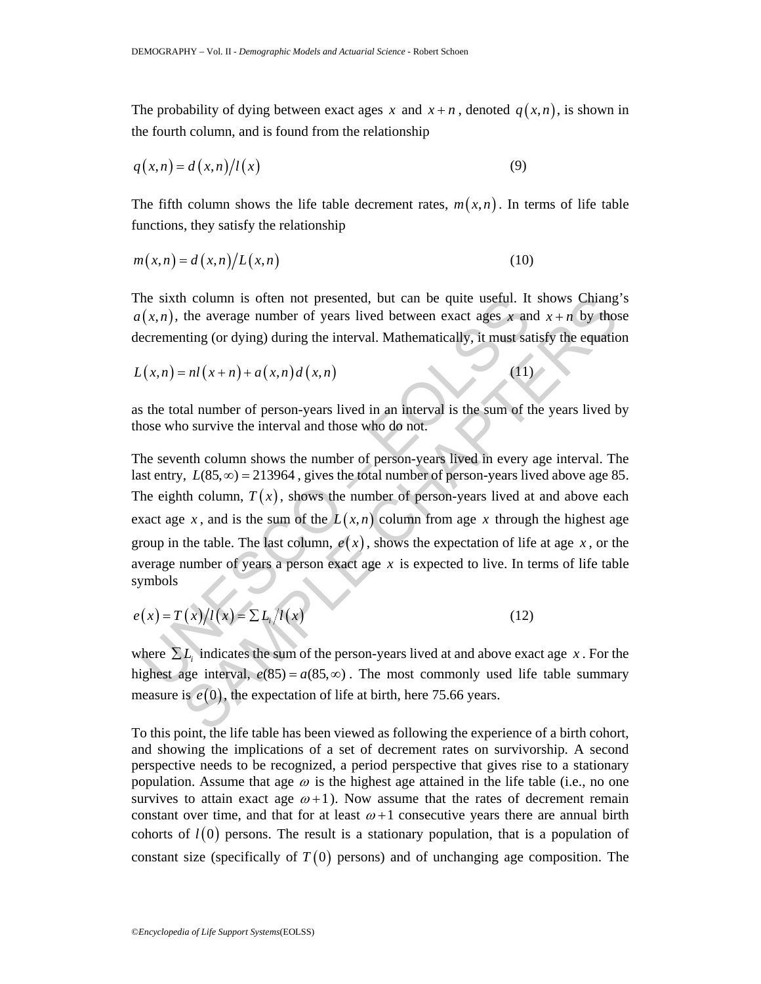The probability of dying between exact ages x and  $x + n$ , denoted  $q(x, n)$ , is shown in the fourth column, and is found from the relationship

$$
q(x,n) = d(x,n)/l(x) \tag{9}
$$

The fifth column shows the life table decrement rates,  $m(x,n)$ . In terms of life table functions, they satisfy the relationship

$$
m(x,n) = d(x,n)/L(x,n)
$$
\n(10)

The sixth column is often not presented, but can be quite useful. It shows Chiang's  $a(x, n)$ , the average number of years lived between exact ages x and  $x + n$  by those decrementing (or dying) during the interval. Mathematically, it must satisfy the equation

$$
L(x,n) = nl(x+n) + a(x,n)d(x,n)
$$
 (11)

as the total number of person-years lived in an interval is the sum of the years lived by those who survive the interval and those who do not.

the sixth column is often not presented, but can be quite useful. It  $(x, n)$ , the average number of years lived between exact ages x an ecrementing (or dying) during the interval. Mathematically, it must sat  $(x, n) = nI(x + n) + a$ h column is often not presented, but can be quite useful. It shows Chiang<br>the average number of years lived between exact ages x and  $x + n$  by thos<br>ting (or dying) during the interval. Mathematically, it must satisfy the e The seventh column shows the number of person-years lived in every age interval. The last entry,  $L(85, \infty) = 213964$ , gives the total number of person-years lived above age 85. The eighth column,  $T(x)$ , shows the number of person-years lived at and above each exact age *x*, and is the sum of the  $L(x, n)$  column from age *x* through the highest age group in the table. The last column,  $e(x)$ , shows the expectation of life at age *x*, or the average number of years a person exact age *x* is expected to live. In terms of life table symbols

$$
e(x) = T(x)/l(x) = \sum L_i/l(x)
$$
\n(12)

where  $\sum L_i$  indicates the sum of the person-years lived at and above exact age *x*. For the highest age interval,  $e(85) = a(85, \infty)$ . The most commonly used life table summary measure is  $e(0)$ , the expectation of life at birth, here 75.66 years.

To this point, the life table has been viewed as following the experience of a birth cohort, and showing the implications of a set of decrement rates on survivorship. A second perspective needs to be recognized, a period perspective that gives rise to a stationary population. Assume that age  $\omega$  is the highest age attained in the life table (i.e., no one survives to attain exact age  $\omega + 1$ ). Now assume that the rates of decrement remain constant over time, and that for at least  $\omega + 1$  consecutive years there are annual birth cohorts of  $l(0)$  persons. The result is a stationary population, that is a population of constant size (specifically of  $T(0)$  persons) and of unchanging age composition. The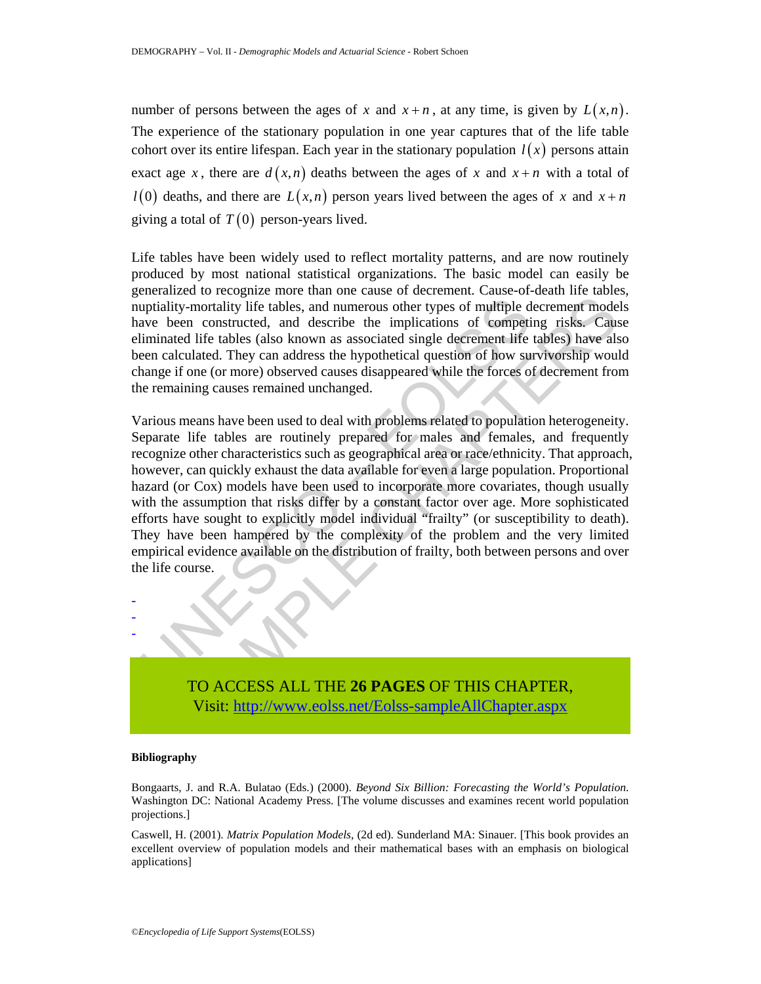number of persons between the ages of x and  $x + n$ , at any time, is given by  $L(x,n)$ . The experience of the stationary population in one year captures that of the life table cohort over its entire lifespan. Each year in the stationary population  $l(x)$  persons attain exact age *x*, there are  $d(x, n)$  deaths between the ages of *x* and  $x + n$  with a total of  $l(0)$  deaths, and there are  $L(x,n)$  person years lived between the ages of x and  $x+n$ giving a total of  $T(0)$  person-years lived.

Life tables have been widely used to reflect mortality patterns, and are now routinely produced by most national statistical organizations. The basic model can easily be generalized to recognize more than one cause of decrement. Cause-of-death life tables, nuptiality-mortality life tables, and numerous other types of multiple decrement models have been constructed, and describe the implications of competing risks. Cause eliminated life tables (also known as associated single decrement life tables) have also been calculated. They can address the hypothetical question of how survivorship would change if one (or more) observed causes disappeared while the forces of decrement from the remaining causes remained unchanged.

uptiality-mortality life tables, and numerous other types of multiple d<br>ave been constructed, and describe the implications of competi<br>iminated life tables (also known as associated single decrement life<br>een calculated. Th From the mass of the implications of eompetic and the most<br>mortality life tables, and numerous other types of multiple decrement mode<br>en constructed, and describe the implications of competing risks. Cause<br>ald life tables Various means have been used to deal with problems related to population heterogeneity. Separate life tables are routinely prepared for males and females, and frequently recognize other characteristics such as geographical area or race/ethnicity. That approach, however, can quickly exhaust the data available for even a large population. Proportional hazard (or Cox) models have been used to incorporate more covariates, though usually with the assumption that risks differ by a constant factor over age. More sophisticated efforts have sought to explicitly model individual "frailty" (or susceptibility to death). They have been hampered by the complexity of the problem and the very limited empirical evidence available on the distribution of frailty, both between persons and over the life course.

TO ACCESS ALL THE **26 PAGES** OF THIS CHAPTER, Visit: http://www.eolss.net/Eolss-sampleAllChapter.aspx

#### **Bibliography**

- - -

Bongaarts, J. and R.A. Bulatao (Eds.) (2000). *Beyond Six Billion: Forecasting the World's Population*. Washington DC: National Academy Press. [The volume discusses and examines recent world population projections.]

Caswell, H. (2001). *Matrix Population Models*, (2d ed). Sunderland MA: Sinauer. [This book provides an excellent overview of population models and their mathematical bases with an emphasis on biological applications]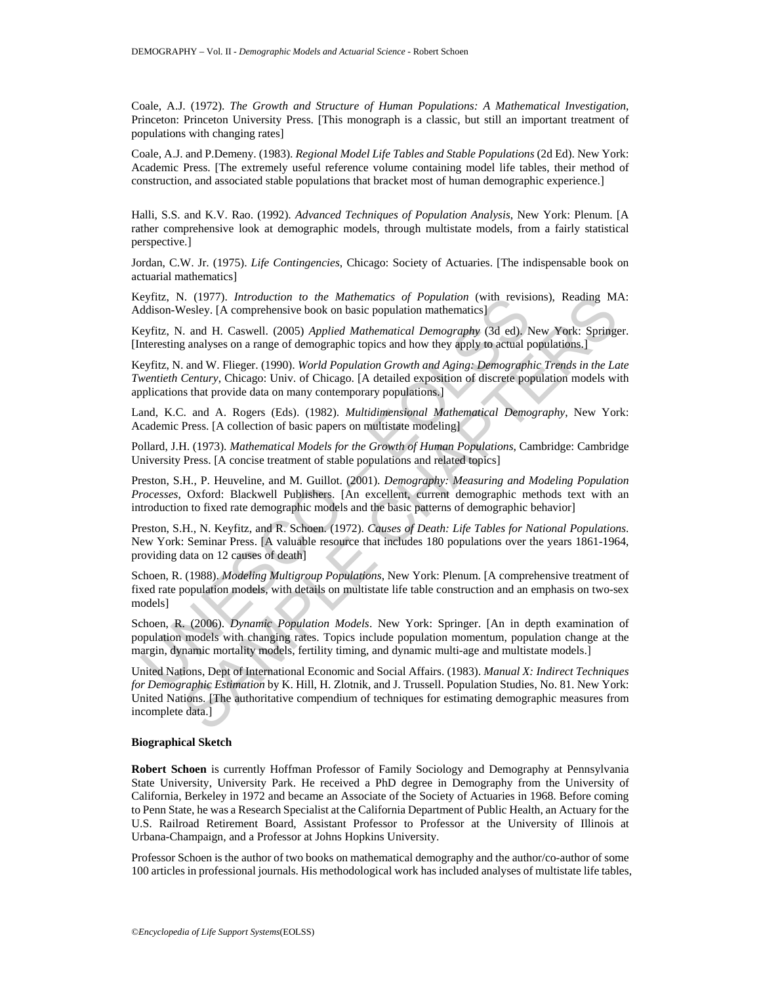Coale, A.J. (1972). *The Growth and Structure of Human Populations: A Mathematical Investigation*, Princeton: Princeton University Press. [This monograph is a classic, but still an important treatment of populations with changing rates]

Coale, A.J. and P.Demeny. (1983). *Regional Model Life Tables and Stable Populations* (2d Ed). New York: Academic Press. [The extremely useful reference volume containing model life tables, their method of construction, and associated stable populations that bracket most of human demographic experience.]

Halli, S.S. and K.V. Rao. (1992). *Advanced Techniques of Population Analysis*, New York: Plenum. [A rather comprehensive look at demographic models, through multistate models, from a fairly statistical perspective.]

Jordan, C.W. Jr. (1975). *Life Contingencies*, Chicago: Society of Actuaries. [The indispensable book on actuarial mathematics]

Keyfitz, N. (1977). *Introduction to the Mathematics of Population* (with revisions), Reading MA: Addison-Wesley. [A comprehensive book on basic population mathematics]

Keyfitz, N. and H. Caswell. (2005) *Applied Mathematical Demography* (3d ed). New York: Springer. [Interesting analyses on a range of demographic topics and how they apply to actual populations.]

Keyfitz, N. and W. Flieger. (1990). *World Population Growth and Aging: Demographic Trends in the Late Twentieth Century*, Chicago: Univ. of Chicago. [A detailed exposition of discrete population models with applications that provide data on many contemporary populations.]

Land, K.C. and A. Rogers (Eds). (1982). *Multidimensional Mathematical Demography*, New York: Academic Press. [A collection of basic papers on multistate modeling]

Pollard, J.H. (1973). *Mathematical Models for the Growth of Human Populations*, Cambridge: Cambridge University Press. [A concise treatment of stable populations and related topics]

Preston, S.H., P. Heuveline, and M. Guillot. (2001). *Demography: Measuring and Modeling Population Processes*, Oxford: Blackwell Publishers. [An excellent, current demographic methods text with an introduction to fixed rate demographic models and the basic patterns of demographic behavior]

eyniz, N. (1971). *Introduction to the Mathematics of Population* (with revision-Wesley. [A comprehensive book on basic population mathematics]<br>eyfiz, N. and H. Caswell. (2005) *Applied Mathematical Demography* (3d ed). Nu Preston, S.H., N. Keyfitz, and R. Schoen. (1972). *Causes of Death: Life Tables for National Populations*. New York: Seminar Press. [A valuable resource that includes 180 populations over the years 1861-1964, providing data on 12 causes of death]

Schoen, R. (1988). *Modeling Multigroup Populations*, New York: Plenum. [A comprehensive treatment of fixed rate population models, with details on multistate life table construction and an emphasis on two-sex models]

Schoen, R. (2006). *Dynamic Population Models*. New York: Springer. [An in depth examination of population models with changing rates. Topics include population momentum, population change at the margin, dynamic mortality models, fertility timing, and dynamic multi-age and multistate models.]

*A*. (1977). *Introduction to the Mathematics of Population (with revisions), Reading MA*. (1977). *Introduction to the Mathematica of Population mathematics*).<br> *A*. and H. Caswell. (2005) *Applied Mathematical Demograph* United Nations, Dept of International Economic and Social Affairs. (1983). *Manual X: Indirect Techniques for Demographic Estimation* by K. Hill, H. Zlotnik, and J. Trussell. Population Studies, No. 81. New York: United Nations. [The authoritative compendium of techniques for estimating demographic measures from incomplete data.]

#### **Biographical Sketch**

**Robert Schoen** is currently Hoffman Professor of Family Sociology and Demography at Pennsylvania State University, University Park. He received a PhD degree in Demography from the University of California, Berkeley in 1972 and became an Associate of the Society of Actuaries in 1968. Before coming to Penn State, he was a Research Specialist at the California Department of Public Health, an Actuary for the U.S. Railroad Retirement Board, Assistant Professor to Professor at the University of Illinois at Urbana-Champaign, and a Professor at Johns Hopkins University.

Professor Schoen is the author of two books on mathematical demography and the author/co-author of some 100 articles in professional journals. His methodological work has included analyses of multistate life tables,